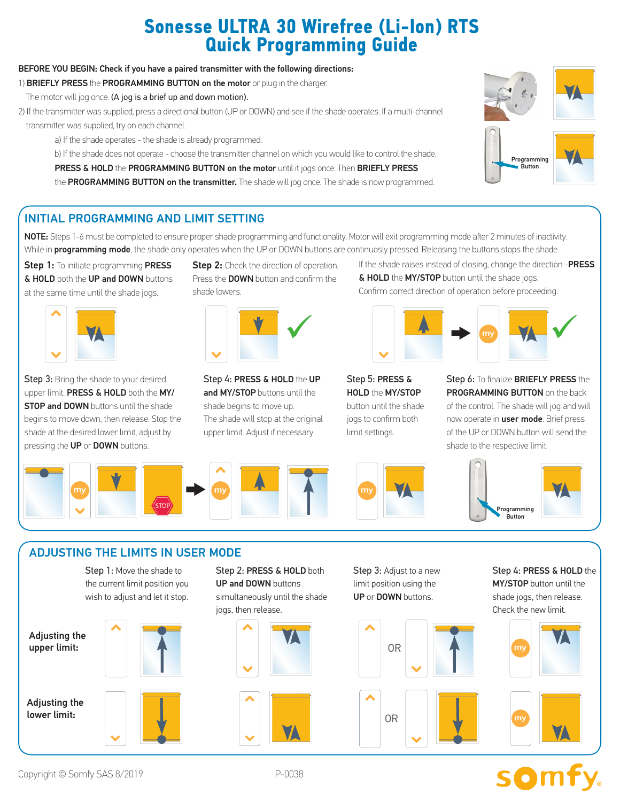## **Sonesse ULTRA 30 Wirefree (Li-Ion) RTS Quick Programming Guide**

#### BEFORE YOU BEGIN: Check if you have a paired transmitter with the following directions:

- 1) BRIEFLY PRESS the PROGRAMMING BUTTON on the motor or plug in the charger.
- The motor will jog once. (A jog is a brief up and down motion).
- 2) If the transmitter was supplied, press a directional button (UP or DOWN) and see if the shade operates. If a multi-channel transmitter was supplied, try on each channel.
	- a) If the shade operates the shade is already programmed.
	- b) If the shade does not operate choose the transmitter channel on which you would like to control the shade.
	- PRESS & HOLD the PROGRAMMING BUTTON on the motor until it jogs once. Then BRIEFLY PRESS

the PROGRAMMING BUTTON on the transmitter. The shade will jog once. The shade is now programmed.



#### INITIAL PROGRAMMING AND LIMIT SETTING

NOTE: Steps 1-6 must be completed to ensure proper shade programming and functionality. Motor will exit programming mode after 2 minutes of inactivity. While in **programming mode**, the shade only operates when the UP or DOWN buttons are continuosly pressed. Releasing the buttons stops the shade.

Step 1: To initiate programming PRESS **& HOLD** both the UP and DOWN buttons at the same time until the shade jogs.



Step 3: Bring the shade to your desired upper limit. PRESS & HOLD both the MY/ **STOP and DOWN** buttons until the shade begins to move down, then release. Stop the shade at the desired lower limit, adjust by pressing the UP or DOWN buttons.

**Step 2:** Check the direction of operation. Press the **DOWN** button and confirm the shade lowers.



Step 4: PRESS & HOLD the UP and MY/STOP buttons until the shade begins to move up. The shade will stop at the original upper limit. Adjust if necessary.

If the shade raises instead of closing, change the direction -PRESS & HOLD the MY/STOP button until the shade jogs. Confirm correct direction of operation before proceeding.



Step 5: PRESS & HOLD the MY/STOP button until the shade jogs to confirm both limit settings.





#### ADJUSTING THE LIMITS IN USER MODE

Step 1: Move the shade to the current limit position you wish to adjust and let it stop.

Adjusting the upper limit:

Adjusting the lower limit:



Step 2: PRESS & HOLD both UP and DOWN buttons simultaneously until the shade jogs, then release.



Step 3: Adjust to a new limit position using the UP or DOWN buttons.



Step 4: PRESS & HOLD the MY/STOP button until the shade jogs, then release. Check the new limit.



# **SOMFY**